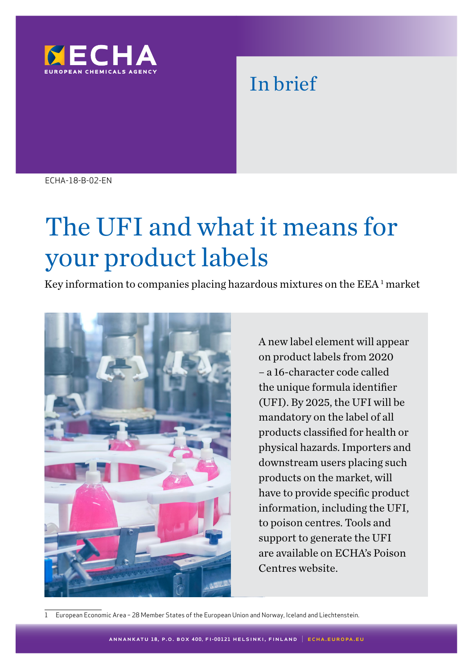

# In brief

ECHA-18-B-02-EN

# The UFI and what it means for your product labels

Key information to companies placing hazardous mixtures on the  $EEA<sup>1</sup>$  market



A new label element will appear on product labels from 2020 – a 16-character code called the unique formula identifier (UFI). By 2025, the UFI will be mandatory on the label of all products classified for health or physical hazards. Importers and downstream users placing such products on the market, will have to provide specific product information, including the UFI, to poison centres. Tools and support to generate the UFI are available on ECHA's Poison Centres website.

1 European Economic Area – 28 Member States of the European Union and Norway, Iceland and Liechtenstein.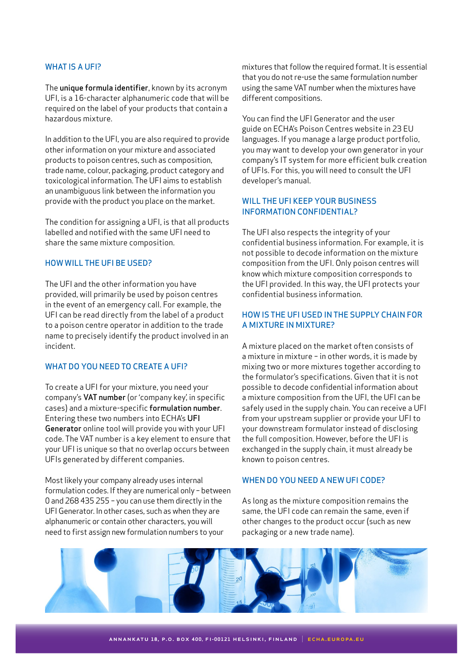#### WHAT IS A UFI?

The unique formula identifier, known by its acronym UFI, is a 16-character alphanumeric code that will be required on the label of your products that contain a hazardous mixture.

In addition to the UFI, you are also required to provide other information on your mixture and associated products to poison centres, such as composition, trade name, colour, packaging, product category and toxicological information. The UFI aims to establish an unambiguous link between the information you provide with the product you place on the market.

The condition for assigning a UFI, is that all products labelled and notified with the same UFI need to share the same mixture composition.

#### HOW WILL THE UFI BE USED?

The UFI and the other information you have provided, will primarily be used by poison centres in the event of an emergency call. For example, the UFI can be read directly from the label of a product to a poison centre operator in addition to the trade name to precisely identify the product involved in an incident.

#### WHAT DO YOU NEED TO CREATE A UFI?

To create a UFI for your mixture, you need your company's VAT number (or 'company key', in specific cases) and a mixture-specific formulation number. Entering these two numbers into ECHA's UFI Generator online tool will provide you with your UFI code. The VAT number is a key element to ensure that your UFI is unique so that no overlap occurs between UFIs generated by different companies.

Most likely your company already uses internal formulation codes. If they are numerical only – between 0 and 268 435 255 – you can use them directly in the UFI Generator. In other cases, such as when they are alphanumeric or contain other characters, you will need to first assign new formulation numbers to your

mixtures that follow the required format. It is essential that you do not re-use the same formulation number using the same VAT number when the mixtures have different compositions.

You can find the UFI Generator and the user guide on ECHA's Poison Centres website in 23 EU languages. If you manage a large product portfolio, you may want to develop your own generator in your company's IT system for more efficient bulk creation of UFIs. For this, you will need to consult the UFI developer's manual.

## WILL THE UFI KEEP YOUR BUSINESS INFORMATION CONFIDENTIAL?

The UFI also respects the integrity of your confidential business information. For example, it is not possible to decode information on the mixture composition from the UFI. Only poison centres will know which mixture composition corresponds to the UFI provided. In this way, the UFI protects your confidential business information.

## HOW IS THE UFI USED IN THE SUPPLY CHAIN FOR A MIXTURE IN MIXTURE?

A mixture placed on the market often consists of a mixture in mixture – in other words, it is made by mixing two or more mixtures together according to the formulator's specifications. Given that it is not possible to decode confidential information about a mixture composition from the UFI, the UFI can be safely used in the supply chain. You can receive a UFI from your upstream supplier or provide your UFI to your downstream formulator instead of disclosing the full composition. However, before the UFI is exchanged in the supply chain, it must already be known to poison centres.

#### WHEN DO YOU NEED A NEW UFI CODE?

As long as the mixture composition remains the same, the UFI code can remain the same, even if other changes to the product occur (such as new packaging or a new trade name).

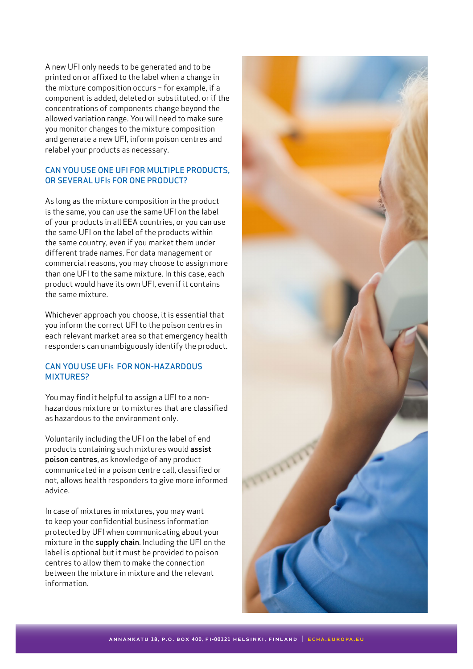A new UFI only needs to be generated and to be printed on or affixed to the label when a change in the mixture composition occurs – for example, if a component is added, deleted or substituted, or if the concentrations of components change beyond the allowed variation range. You will need to make sure you monitor changes to the mixture composition and generate a new UFI, inform poison centres and relabel your products as necessary.

# CAN YOU USE ONE UFI FOR MULTIPLE PRODUCTS, OR SEVERAL UFIS FOR ONE PRODUCT?

As long as the mixture composition in the product is the same, you can use the same UFI on the label of your products in all EEA countries, or you can use the same UFI on the label of the products within the same country, even if you market them under different trade names. For data management or commercial reasons, you may choose to assign more than one UFI to the same mixture. In this case, each product would have its own UFI, even if it contains the same mixture.

Whichever approach you choose, it is essential that you inform the correct UFI to the poison centres in each relevant market area so that emergency health responders can unambiguously identify the product.

# CAN YOU USE UFIS FOR NON-HAZARDOUS MIXTURES?

You may find it helpful to assign a UFI to a nonhazardous mixture or to mixtures that are classified as hazardous to the environment only.

Voluntarily including the UFI on the label of end products containing such mixtures would assist poison centres, as knowledge of any product communicated in a poison centre call, classified or not, allows health responders to give more informed advice.

In case of mixtures in mixtures, you may want to keep your confidential business information protected by UFI when communicating about your mixture in the supply chain. Including the UFI on the label is optional but it must be provided to poison centres to allow them to make the connection between the mixture in mixture and the relevant information.